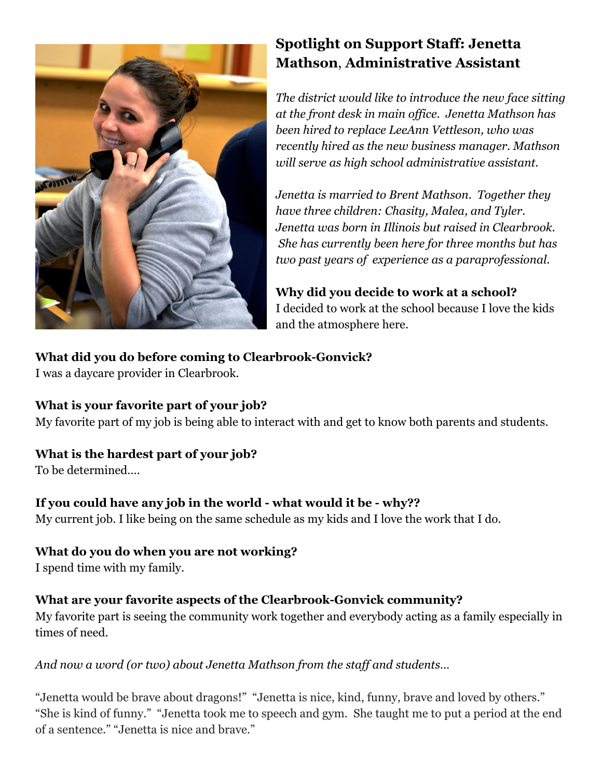

# **Spotlight on Support Staff: Jenetta Mathson**, **Administrative Assistant**

*The district would like to introduce the new face sitting at the front desk in main of ice. Jenetta Mathson has been hired to replace LeeAnn Vettleson, who was recently hired as the new business manager. Mathson will serve as high school administrative assistant.*

*Jenetta is married to Brent Mathson. Together they have three children: Chasity, Malea, and Tyler. Jenetta was born in Illinois but raised in Clearbrook. She has currently been here for three months but has two past years of experience as a paraprofessional.*

**Why did you decide to work at a school?** I decided to work at the school because I love the kids and the atmosphere here.

## **What did you do before coming to Clearbrook-Gonvick?**

I was a daycare provider in Clearbrook.

### **What is your favorite part of your job?**

My favorite part of my job is being able to interact with and get to know both parents and students.

## **What is the hardest part of your job?**

To be determined….

## **If you could have any job in the world - what would it be - why??**

My current job. I like being on the same schedule as my kids and I love the work that I do.

## **What do you do when you are not working?**

I spend time with my family.

### **What are your favorite aspects of the Clearbrook-Gonvick community?**

My favorite part is seeing the community work together and everybody acting as a family especially in times of need.

### *And now a word (or two) about Jenetta Mathson from the staf and students…*

"Jenetta would be brave about dragons!" "Jenetta is nice, kind, funny, brave and loved by others." "She is kind of funny." "Jenetta took me to speech and gym. She taught me to put a period at the end of a sentence." "Jenetta is nice and brave."